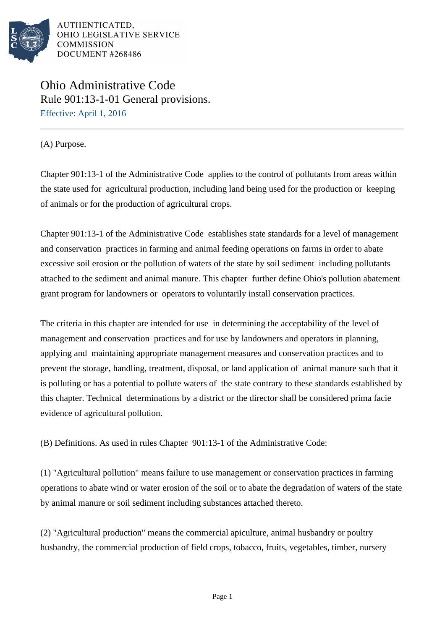

Ohio Administrative Code Rule 901:13-1-01 General provisions. Effective: April 1, 2016

(A) Purpose.

Chapter 901:13-1 of the Administrative Code applies to the control of pollutants from areas within the state used for agricultural production, including land being used for the production or keeping of animals or for the production of agricultural crops.

Chapter 901:13-1 of the Administrative Code establishes state standards for a level of management and conservation practices in farming and animal feeding operations on farms in order to abate excessive soil erosion or the pollution of waters of the state by soil sediment including pollutants attached to the sediment and animal manure. This chapter further define Ohio's pollution abatement grant program for landowners or operators to voluntarily install conservation practices.

The criteria in this chapter are intended for use in determining the acceptability of the level of management and conservation practices and for use by landowners and operators in planning, applying and maintaining appropriate management measures and conservation practices and to prevent the storage, handling, treatment, disposal, or land application of animal manure such that it is polluting or has a potential to pollute waters of the state contrary to these standards established by this chapter. Technical determinations by a district or the director shall be considered prima facie evidence of agricultural pollution.

(B) Definitions. As used in rules Chapter 901:13-1 of the Administrative Code:

(1) "Agricultural pollution" means failure to use management or conservation practices in farming operations to abate wind or water erosion of the soil or to abate the degradation of waters of the state by animal manure or soil sediment including substances attached thereto.

(2) "Agricultural production" means the commercial apiculture, animal husbandry or poultry husbandry, the commercial production of field crops, tobacco, fruits, vegetables, timber, nursery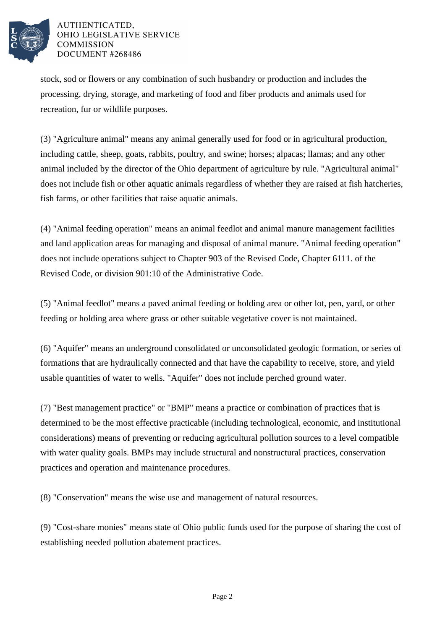

stock, sod or flowers or any combination of such husbandry or production and includes the processing, drying, storage, and marketing of food and fiber products and animals used for recreation, fur or wildlife purposes.

(3) "Agriculture animal" means any animal generally used for food or in agricultural production, including cattle, sheep, goats, rabbits, poultry, and swine; horses; alpacas; llamas; and any other animal included by the director of the Ohio department of agriculture by rule. "Agricultural animal" does not include fish or other aquatic animals regardless of whether they are raised at fish hatcheries, fish farms, or other facilities that raise aquatic animals.

(4) "Animal feeding operation" means an animal feedlot and animal manure management facilities and land application areas for managing and disposal of animal manure. "Animal feeding operation" does not include operations subject to Chapter 903 of the Revised Code, Chapter 6111. of the Revised Code, or division 901:10 of the Administrative Code.

(5) "Animal feedlot" means a paved animal feeding or holding area or other lot, pen, yard, or other feeding or holding area where grass or other suitable vegetative cover is not maintained.

(6) "Aquifer" means an underground consolidated or unconsolidated geologic formation, or series of formations that are hydraulically connected and that have the capability to receive, store, and yield usable quantities of water to wells. "Aquifer" does not include perched ground water.

(7) "Best management practice" or "BMP" means a practice or combination of practices that is determined to be the most effective practicable (including technological, economic, and institutional considerations) means of preventing or reducing agricultural pollution sources to a level compatible with water quality goals. BMPs may include structural and nonstructural practices, conservation practices and operation and maintenance procedures.

(8) "Conservation" means the wise use and management of natural resources.

(9) "Cost-share monies" means state of Ohio public funds used for the purpose of sharing the cost of establishing needed pollution abatement practices.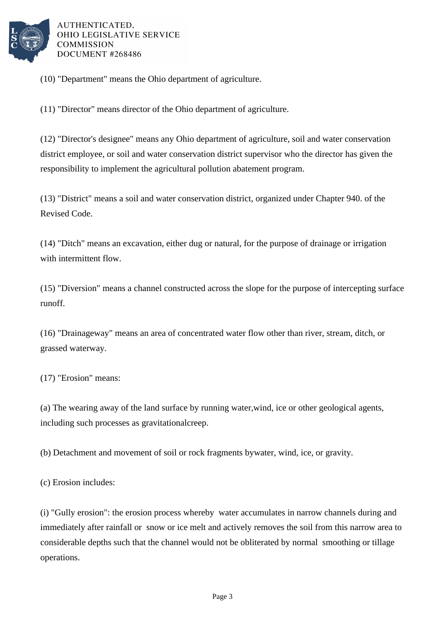

(10) "Department" means the Ohio department of agriculture.

(11) "Director" means director of the Ohio department of agriculture.

(12) "Director's designee" means any Ohio department of agriculture, soil and water conservation district employee, or soil and water conservation district supervisor who the director has given the responsibility to implement the agricultural pollution abatement program.

(13) "District" means a soil and water conservation district, organized under Chapter 940. of the Revised Code.

(14) "Ditch" means an excavation, either dug or natural, for the purpose of drainage or irrigation with intermittent flow.

(15) "Diversion" means a channel constructed across the slope for the purpose of intercepting surface runoff.

(16) "Drainageway" means an area of concentrated water flow other than river, stream, ditch, or grassed waterway.

(17) "Erosion" means:

(a) The wearing away of the land surface by running water, wind, ice or other geological agents, including such processes as gravitational creep.

(b) Detachment and movement of soil or rock fragments by water, wind, ice, or gravity.

(c) Erosion includes:

(i) "Gully erosion": the erosion process whereby water accumulates in narrow channels during and immediately after rainfall or snow or ice melt and actively removes the soil from this narrow area to considerable depths such that the channel would not be obliterated by normal smoothing or tillage operations.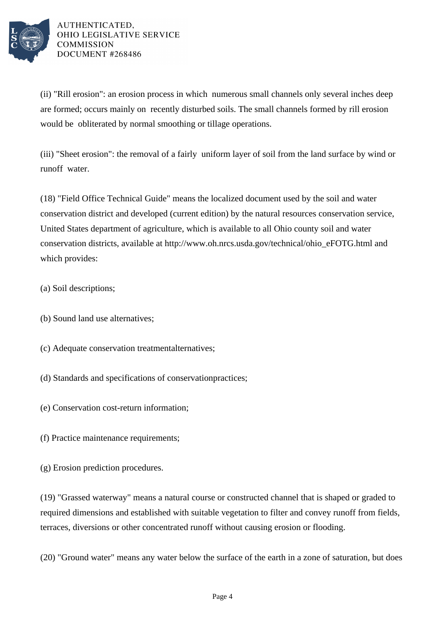

(ii) "Rill erosion": an erosion process in which numerous small channels only several inches deep are formed; occurs mainly on recently disturbed soils. The small channels formed by rill erosion would be obliterated by normal smoothing or tillage operations.

(iii) "Sheet erosion": the removal of a fairly uniform layer of soil from the land surface by wind or runoff water.

(18) "Field Office Technical Guide" means the localized document used by the soil and water conservation district and developed (current edition) by the natural resources conservation service, United States department of agriculture, which is available to all Ohio county soil and water conservation districts, available at http://www.oh.nrcs.usda.gov/technical/ohio\_eFOTG.html and which provides:

(a) Soil descriptions;

- (b) Sound land use alternatives;
- (c) Adequate conservation treatment alternatives;
- (d) Standards and specifications of conservation practices;
- (e) Conservation cost-return information;
- (f) Practice maintenance requirements;
- (g) Erosion prediction procedures.

(19) "Grassed waterway" means a natural course or constructed channel that is shaped or graded to required dimensions and established with suitable vegetation to filter and convey runoff from fields, terraces, diversions or other concentrated runoff without causing erosion or flooding.

(20) "Ground water" means any water below the surface of the earth in a zone of saturation, but does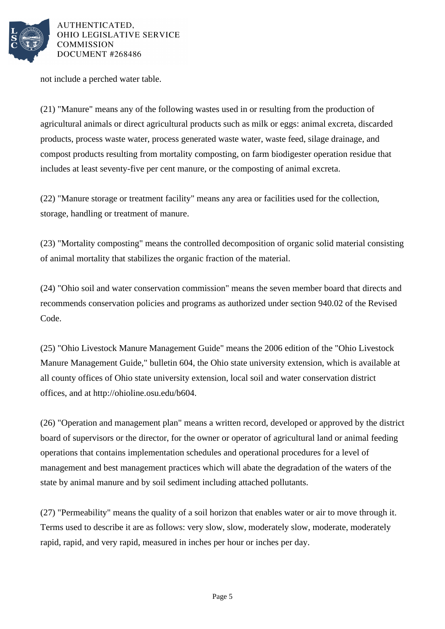

not include a perched water table.

 $(21)$  "Manure" means any of the following wastes used in or resulting from the production of agricultural animals or direct agricultural products such as milk or eggs: animal excreta, discarded products, process waste water, process generated waste water, waste feed, silage drainage, and compost products resulting from mortality composting, on farm biodigester operation residue that includes at least seventy-five per cent manure, or the composting of animal excreta.

(22) "Manure storage or treatment facility" means any area or facilities used for the collection, storage, handling or treatment of manure.

(23) "Mortality composting" means the controlled decomposition of organic solid material consisting of animal mortality that stabilizes the organic fraction of the material.

(24) "Ohio soil and water conservation commission" means the seven member board that directs and recommends conservation policies and programs as authorized under section 940.02 of the Revised Code.

(25) "Ohio Livestock Manure Management Guide" means the 2006 edition of the "Ohio Livestock" Manure Management Guide," bulletin 604, the Ohio state university extension, which is available at all county offices of Ohio state university extension, local soil and water conservation district offices, and at http://ohioline.osu.edu/b604.

(26) "Operation and management plan" means a written record, developed or approved by the district board of supervisors or the director, for the owner or operator of agricultural land or animal feeding operations that contains implementation schedules and operational procedures for a level of management and best management practices which will abate the degradation of the waters of the state by animal manure and by soil sediment including attached pollutants.

 $(27)$  "Permeability" means the quality of a soil horizon that enables water or air to move through it. Terms used to describe it are as follows: very slow, slow, moderately slow, moderate, moderately rapid, rapid, and very rapid, measured in inches per hour or inches per day.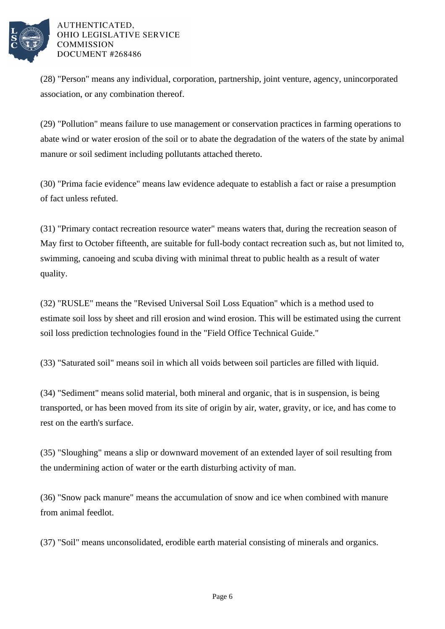

(28) "Person" means any individual, corporation, partnership, joint venture, agency, unincorporated association, or any combination thereof.

(29) "Pollution" means failure to use management or conservation practices in farming operations to abate wind or water erosion of the soil or to abate the degradation of the waters of the state by animal manure or soil sediment including pollutants attached thereto.

(30) "Prima facie evidence" means law evidence adequate to establish a fact or raise a presumption of fact unless refuted.

(31) "Primary contact recreation resource water" means waters that, during the recreation season of May first to October fifteenth, are suitable for full-body contact recreation such as, but not limited to, swimming, canoeing and scuba diving with minimal threat to public health as a result of water quality.

(32) "RUSLE" means the "Revised Universal Soil Loss Equation" which is a method used to estimate soil loss by sheet and rill erosion and wind erosion. This will be estimated using the current soil loss prediction technologies found in the "Field Office Technical Guide."

(33) "Saturated soil" means soil in which all voids between soil particles are filled with liquid.

(34) "Sediment" means solid material, both mineral and organic, that is in suspension, is being transported, or has been moved from its site of origin by air, water, gravity, or ice, and has come to rest on the earth's surface.

(35) "Sloughing" means a slip or downward movement of an extended layer of soil resulting from the undermining action of water or the earth disturbing activity of man.

(36) "Snow pack manure" means the accumulation of snow and ice when combined with manure from animal feedlot.

(37) "Soil" means unconsolidated, erodible earth material consisting of minerals and organics.